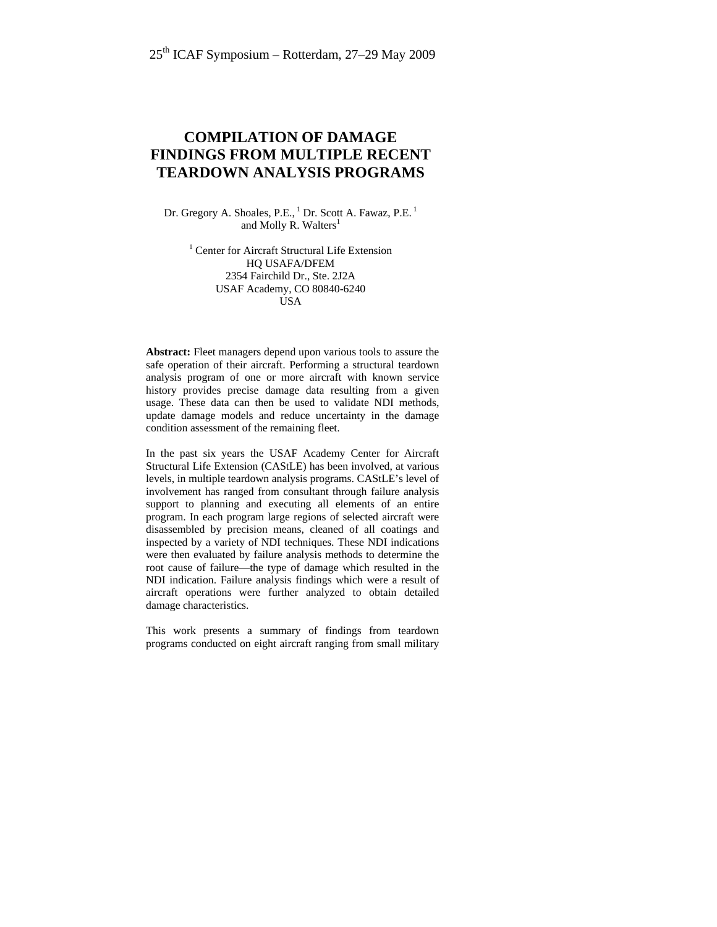# **COMPILATION OF DAMAGE FINDINGS FROM MULTIPLE RECENT TEARDOWN ANALYSIS PROGRAMS**

Dr. Gregory A. Shoales, P.E., <sup>1</sup> Dr. Scott A. Fawaz, P.E.<sup>1</sup> and Molly R. Walters<sup>1</sup>

> <sup>1</sup> Center for Aircraft Structural Life Extension HQ USAFA/DFEM 2354 Fairchild Dr., Ste. 2J2A USAF Academy, CO 80840-6240 **USA**

**Abstract:** Fleet managers depend upon various tools to assure the safe operation of their aircraft. Performing a structural teardown analysis program of one or more aircraft with known service history provides precise damage data resulting from a given usage. These data can then be used to validate NDI methods, update damage models and reduce uncertainty in the damage condition assessment of the remaining fleet.

In the past six years the USAF Academy Center for Aircraft Structural Life Extension (CAStLE) has been involved, at various levels, in multiple teardown analysis programs. CAStLE's level of involvement has ranged from consultant through failure analysis support to planning and executing all elements of an entire program. In each program large regions of selected aircraft were disassembled by precision means, cleaned of all coatings and inspected by a variety of NDI techniques. These NDI indications were then evaluated by failure analysis methods to determine the root cause of failure—the type of damage which resulted in the NDI indication. Failure analysis findings which were a result of aircraft operations were further analyzed to obtain detailed damage characteristics.

This work presents a summary of findings from teardown programs conducted on eight aircraft ranging from small military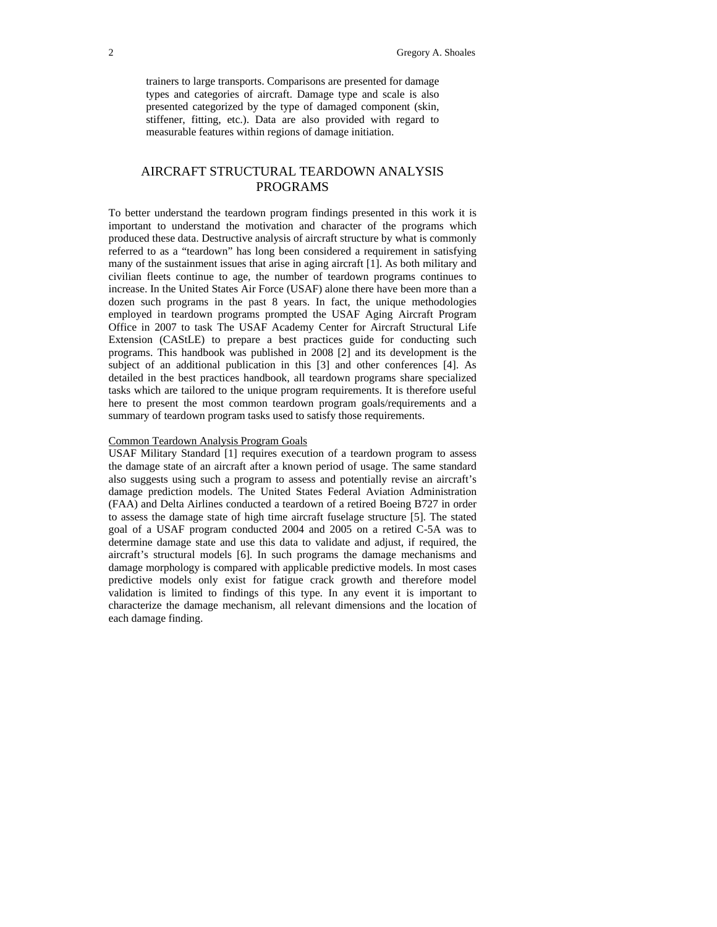trainers to large transports. Comparisons are presented for damage types and categories of aircraft. Damage type and scale is also presented categorized by the type of damaged component (skin, stiffener, fitting, etc.). Data are also provided with regard to measurable features within regions of damage initiation.

# AIRCRAFT STRUCTURAL TEARDOWN ANALYSIS PROGRAMS

To better understand the teardown program findings presented in this work it is important to understand the motivation and character of the programs which produced these data. Destructive analysis of aircraft structure by what is commonly referred to as a "teardown" has long been considered a requirement in satisfying many of the sustainment issues that arise in aging aircraft [1]. As both military and civilian fleets continue to age, the number of teardown programs continues to increase. In the United States Air Force (USAF) alone there have been more than a dozen such programs in the past 8 years. In fact, the unique methodologies employed in teardown programs prompted the USAF Aging Aircraft Program Office in 2007 to task The USAF Academy Center for Aircraft Structural Life Extension (CAStLE) to prepare a best practices guide for conducting such programs. This handbook was published in 2008 [2] and its development is the subject of an additional publication in this [3] and other conferences [4]. As detailed in the best practices handbook, all teardown programs share specialized tasks which are tailored to the unique program requirements. It is therefore useful here to present the most common teardown program goals/requirements and a summary of teardown program tasks used to satisfy those requirements.

## Common Teardown Analysis Program Goals

USAF Military Standard [1] requires execution of a teardown program to assess the damage state of an aircraft after a known period of usage. The same standard also suggests using such a program to assess and potentially revise an aircraft's damage prediction models. The United States Federal Aviation Administration (FAA) and Delta Airlines conducted a teardown of a retired Boeing B727 in order to assess the damage state of high time aircraft fuselage structure [5]. The stated goal of a USAF program conducted 2004 and 2005 on a retired C-5A was to determine damage state and use this data to validate and adjust, if required, the aircraft's structural models [6]. In such programs the damage mechanisms and damage morphology is compared with applicable predictive models. In most cases predictive models only exist for fatigue crack growth and therefore model validation is limited to findings of this type. In any event it is important to characterize the damage mechanism, all relevant dimensions and the location of each damage finding.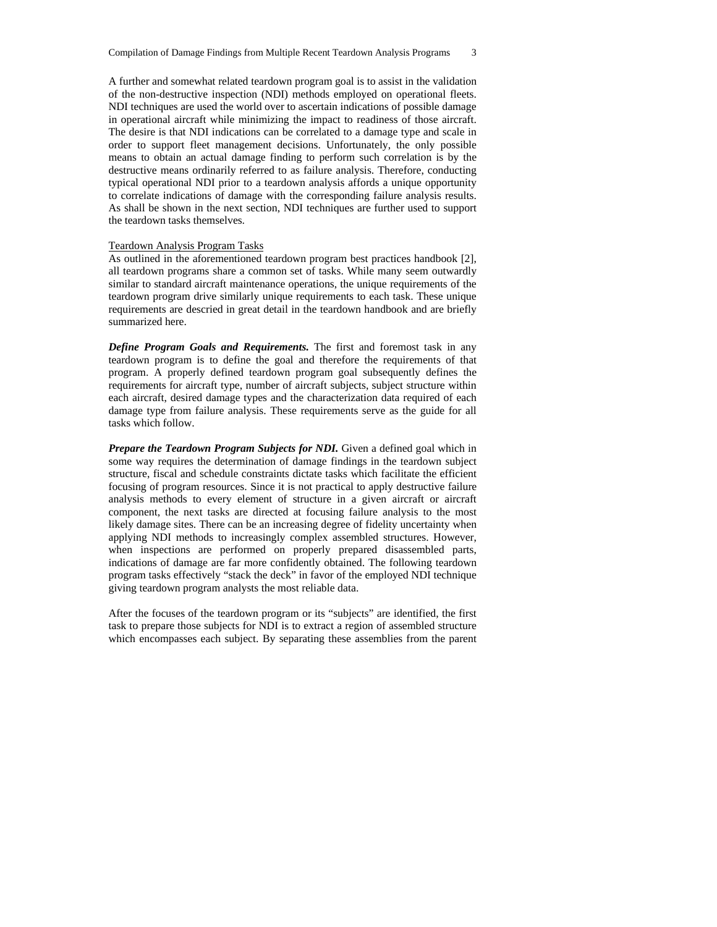A further and somewhat related teardown program goal is to assist in the validation of the non-destructive inspection (NDI) methods employed on operational fleets. NDI techniques are used the world over to ascertain indications of possible damage in operational aircraft while minimizing the impact to readiness of those aircraft. The desire is that NDI indications can be correlated to a damage type and scale in order to support fleet management decisions. Unfortunately, the only possible means to obtain an actual damage finding to perform such correlation is by the destructive means ordinarily referred to as failure analysis. Therefore, conducting typical operational NDI prior to a teardown analysis affords a unique opportunity to correlate indications of damage with the corresponding failure analysis results. As shall be shown in the next section, NDI techniques are further used to support the teardown tasks themselves.

#### Teardown Analysis Program Tasks

As outlined in the aforementioned teardown program best practices handbook [2], all teardown programs share a common set of tasks. While many seem outwardly similar to standard aircraft maintenance operations, the unique requirements of the teardown program drive similarly unique requirements to each task. These unique requirements are descried in great detail in the teardown handbook and are briefly summarized here.

*Define Program Goals and Requirements.* The first and foremost task in any teardown program is to define the goal and therefore the requirements of that program. A properly defined teardown program goal subsequently defines the requirements for aircraft type, number of aircraft subjects, subject structure within each aircraft, desired damage types and the characterization data required of each damage type from failure analysis. These requirements serve as the guide for all tasks which follow.

*Prepare the Teardown Program Subjects for NDI.* Given a defined goal which in some way requires the determination of damage findings in the teardown subject structure, fiscal and schedule constraints dictate tasks which facilitate the efficient focusing of program resources. Since it is not practical to apply destructive failure analysis methods to every element of structure in a given aircraft or aircraft component, the next tasks are directed at focusing failure analysis to the most likely damage sites. There can be an increasing degree of fidelity uncertainty when applying NDI methods to increasingly complex assembled structures. However, when inspections are performed on properly prepared disassembled parts, indications of damage are far more confidently obtained. The following teardown program tasks effectively "stack the deck" in favor of the employed NDI technique giving teardown program analysts the most reliable data.

After the focuses of the teardown program or its "subjects" are identified, the first task to prepare those subjects for NDI is to extract a region of assembled structure which encompasses each subject. By separating these assemblies from the parent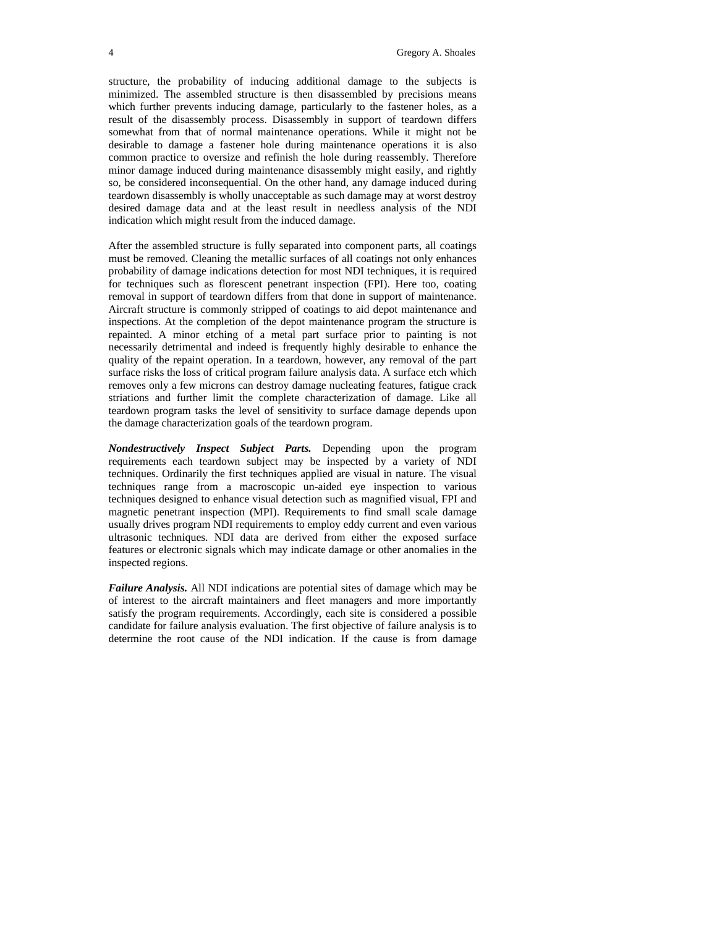structure, the probability of inducing additional damage to the subjects is minimized. The assembled structure is then disassembled by precisions means which further prevents inducing damage, particularly to the fastener holes, as a result of the disassembly process. Disassembly in support of teardown differs somewhat from that of normal maintenance operations. While it might not be desirable to damage a fastener hole during maintenance operations it is also common practice to oversize and refinish the hole during reassembly. Therefore minor damage induced during maintenance disassembly might easily, and rightly so, be considered inconsequential. On the other hand, any damage induced during teardown disassembly is wholly unacceptable as such damage may at worst destroy desired damage data and at the least result in needless analysis of the NDI indication which might result from the induced damage.

After the assembled structure is fully separated into component parts, all coatings must be removed. Cleaning the metallic surfaces of all coatings not only enhances probability of damage indications detection for most NDI techniques, it is required for techniques such as florescent penetrant inspection (FPI). Here too, coating removal in support of teardown differs from that done in support of maintenance. Aircraft structure is commonly stripped of coatings to aid depot maintenance and inspections. At the completion of the depot maintenance program the structure is repainted. A minor etching of a metal part surface prior to painting is not necessarily detrimental and indeed is frequently highly desirable to enhance the quality of the repaint operation. In a teardown, however, any removal of the part surface risks the loss of critical program failure analysis data. A surface etch which removes only a few microns can destroy damage nucleating features, fatigue crack striations and further limit the complete characterization of damage. Like all teardown program tasks the level of sensitivity to surface damage depends upon the damage characterization goals of the teardown program.

*Nondestructively Inspect Subject Parts.* Depending upon the program requirements each teardown subject may be inspected by a variety of NDI techniques. Ordinarily the first techniques applied are visual in nature. The visual techniques range from a macroscopic un-aided eye inspection to various techniques designed to enhance visual detection such as magnified visual, FPI and magnetic penetrant inspection (MPI). Requirements to find small scale damage usually drives program NDI requirements to employ eddy current and even various ultrasonic techniques. NDI data are derived from either the exposed surface features or electronic signals which may indicate damage or other anomalies in the inspected regions.

*Failure Analysis.* All NDI indications are potential sites of damage which may be of interest to the aircraft maintainers and fleet managers and more importantly satisfy the program requirements. Accordingly, each site is considered a possible candidate for failure analysis evaluation. The first objective of failure analysis is to determine the root cause of the NDI indication. If the cause is from damage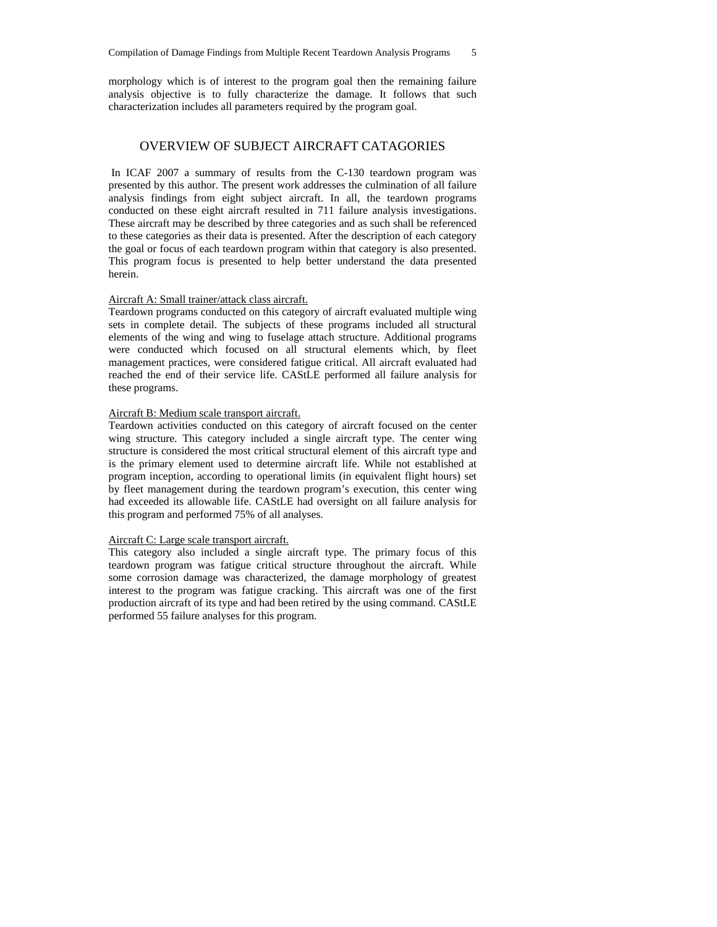morphology which is of interest to the program goal then the remaining failure analysis objective is to fully characterize the damage. It follows that such characterization includes all parameters required by the program goal.

# OVERVIEW OF SUBJECT AIRCRAFT CATAGORIES

 In ICAF 2007 a summary of results from the C-130 teardown program was presented by this author. The present work addresses the culmination of all failure analysis findings from eight subject aircraft. In all, the teardown programs conducted on these eight aircraft resulted in 711 failure analysis investigations. These aircraft may be described by three categories and as such shall be referenced to these categories as their data is presented. After the description of each category the goal or focus of each teardown program within that category is also presented. This program focus is presented to help better understand the data presented herein.

#### Aircraft A: Small trainer/attack class aircraft.

Teardown programs conducted on this category of aircraft evaluated multiple wing sets in complete detail. The subjects of these programs included all structural elements of the wing and wing to fuselage attach structure. Additional programs were conducted which focused on all structural elements which, by fleet management practices, were considered fatigue critical. All aircraft evaluated had reached the end of their service life. CAStLE performed all failure analysis for these programs.

# Aircraft B: Medium scale transport aircraft.

Teardown activities conducted on this category of aircraft focused on the center wing structure. This category included a single aircraft type. The center wing structure is considered the most critical structural element of this aircraft type and is the primary element used to determine aircraft life. While not established at program inception, according to operational limits (in equivalent flight hours) set by fleet management during the teardown program's execution, this center wing had exceeded its allowable life. CAStLE had oversight on all failure analysis for this program and performed 75% of all analyses.

#### Aircraft C: Large scale transport aircraft.

This category also included a single aircraft type. The primary focus of this teardown program was fatigue critical structure throughout the aircraft. While some corrosion damage was characterized, the damage morphology of greatest interest to the program was fatigue cracking. This aircraft was one of the first production aircraft of its type and had been retired by the using command. CAStLE performed 55 failure analyses for this program.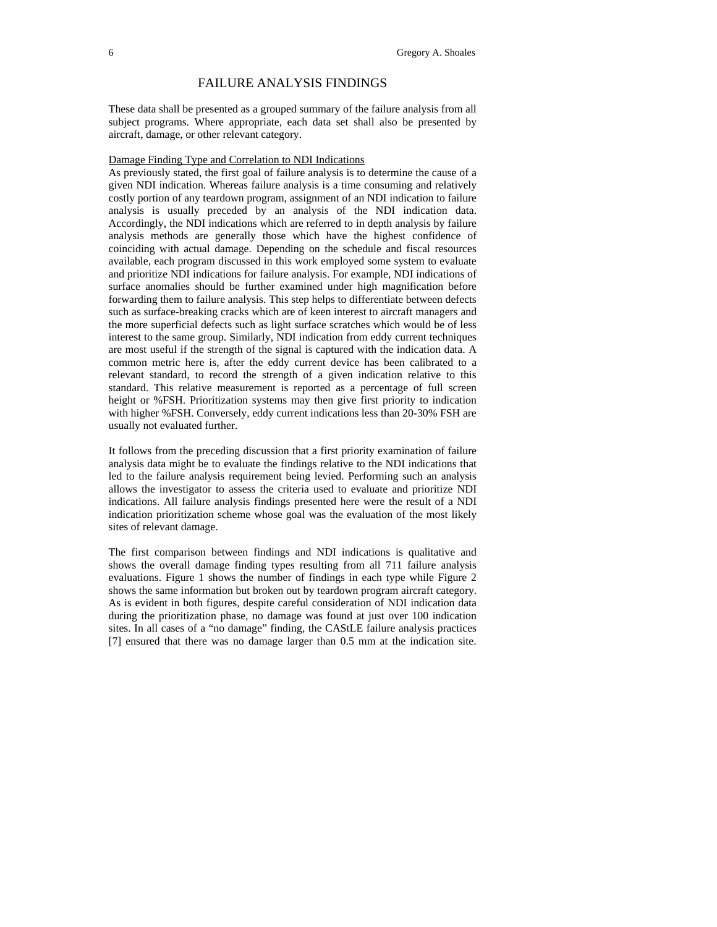# FAILURE ANALYSIS FINDINGS

These data shall be presented as a grouped summary of the failure analysis from all subject programs. Where appropriate, each data set shall also be presented by aircraft, damage, or other relevant category.

## Damage Finding Type and Correlation to NDI Indications

As previously stated, the first goal of failure analysis is to determine the cause of a given NDI indication. Whereas failure analysis is a time consuming and relatively costly portion of any teardown program, assignment of an NDI indication to failure analysis is usually preceded by an analysis of the NDI indication data. Accordingly, the NDI indications which are referred to in depth analysis by failure analysis methods are generally those which have the highest confidence of coinciding with actual damage. Depending on the schedule and fiscal resources available, each program discussed in this work employed some system to evaluate and prioritize NDI indications for failure analysis. For example, NDI indications of surface anomalies should be further examined under high magnification before forwarding them to failure analysis. This step helps to differentiate between defects such as surface-breaking cracks which are of keen interest to aircraft managers and the more superficial defects such as light surface scratches which would be of less interest to the same group. Similarly, NDI indication from eddy current techniques are most useful if the strength of the signal is captured with the indication data. A common metric here is, after the eddy current device has been calibrated to a relevant standard, to record the strength of a given indication relative to this standard. This relative measurement is reported as a percentage of full screen height or %FSH. Prioritization systems may then give first priority to indication with higher %FSH. Conversely, eddy current indications less than 20-30% FSH are usually not evaluated further.

It follows from the preceding discussion that a first priority examination of failure analysis data might be to evaluate the findings relative to the NDI indications that led to the failure analysis requirement being levied. Performing such an analysis allows the investigator to assess the criteria used to evaluate and prioritize NDI indications. All failure analysis findings presented here were the result of a NDI indication prioritization scheme whose goal was the evaluation of the most likely sites of relevant damage.

The first comparison between findings and NDI indications is qualitative and shows the overall damage finding types resulting from all 711 failure analysis evaluations. Figure 1 shows the number of findings in each type while Figure 2 shows the same information but broken out by teardown program aircraft category. As is evident in both figures, despite careful consideration of NDI indication data during the prioritization phase, no damage was found at just over 100 indication sites. In all cases of a "no damage" finding, the CAStLE failure analysis practices [7] ensured that there was no damage larger than 0.5 mm at the indication site.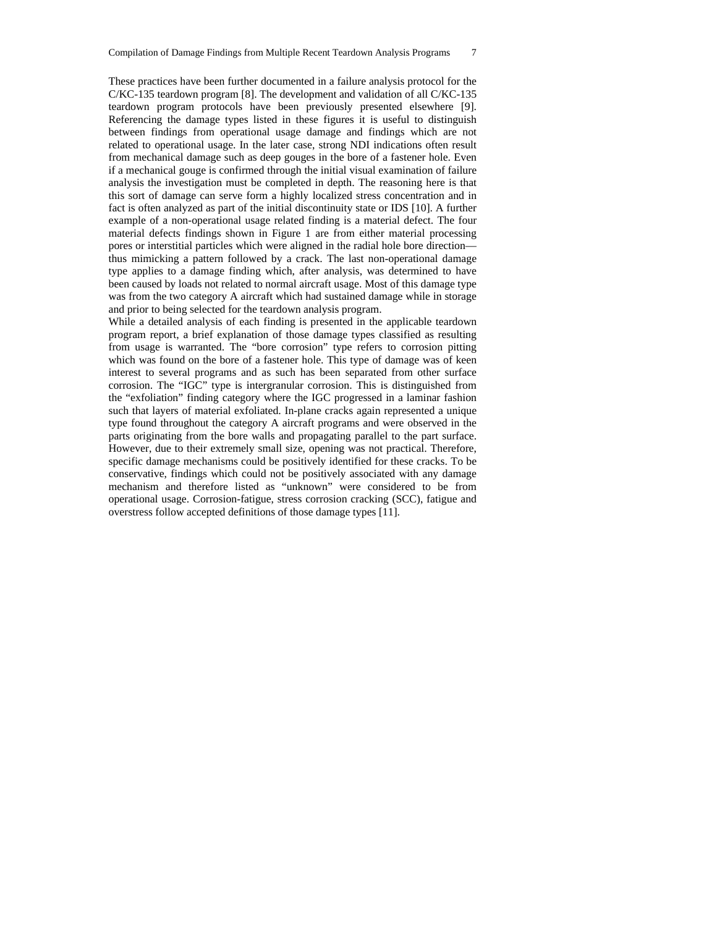These practices have been further documented in a failure analysis protocol for the C/KC-135 teardown program [8]. The development and validation of all C/KC-135 teardown program protocols have been previously presented elsewhere [9]. Referencing the damage types listed in these figures it is useful to distinguish between findings from operational usage damage and findings which are not related to operational usage. In the later case, strong NDI indications often result from mechanical damage such as deep gouges in the bore of a fastener hole. Even if a mechanical gouge is confirmed through the initial visual examination of failure analysis the investigation must be completed in depth. The reasoning here is that this sort of damage can serve form a highly localized stress concentration and in fact is often analyzed as part of the initial discontinuity state or IDS [10]. A further example of a non-operational usage related finding is a material defect. The four material defects findings shown in Figure 1 are from either material processing pores or interstitial particles which were aligned in the radial hole bore direction thus mimicking a pattern followed by a crack. The last non-operational damage type applies to a damage finding which, after analysis, was determined to have been caused by loads not related to normal aircraft usage. Most of this damage type was from the two category A aircraft which had sustained damage while in storage and prior to being selected for the teardown analysis program.

While a detailed analysis of each finding is presented in the applicable teardown program report, a brief explanation of those damage types classified as resulting from usage is warranted. The "bore corrosion" type refers to corrosion pitting which was found on the bore of a fastener hole. This type of damage was of keen interest to several programs and as such has been separated from other surface corrosion. The "IGC" type is intergranular corrosion. This is distinguished from the "exfoliation" finding category where the IGC progressed in a laminar fashion such that layers of material exfoliated. In-plane cracks again represented a unique type found throughout the category A aircraft programs and were observed in the parts originating from the bore walls and propagating parallel to the part surface. However, due to their extremely small size, opening was not practical. Therefore, specific damage mechanisms could be positively identified for these cracks. To be conservative, findings which could not be positively associated with any damage mechanism and therefore listed as "unknown" were considered to be from operational usage. Corrosion-fatigue, stress corrosion cracking (SCC), fatigue and overstress follow accepted definitions of those damage types [11].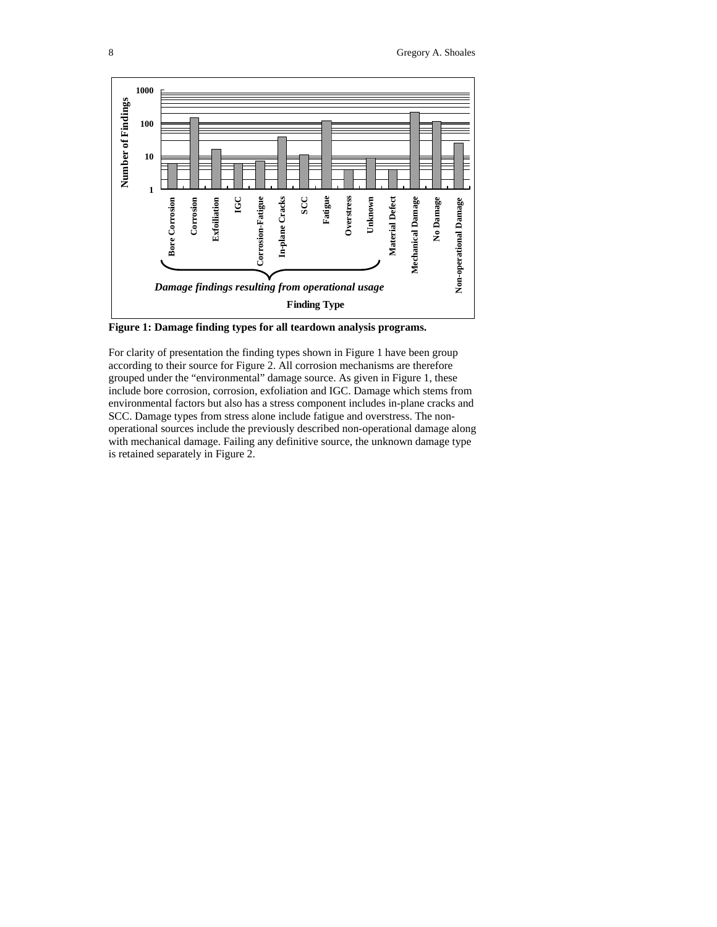

**Figure 1: Damage finding types for all teardown analysis programs.** 

For clarity of presentation the finding types shown in Figure 1 have been group according to their source for Figure 2. All corrosion mechanisms are therefore grouped under the "environmental" damage source. As given in Figure 1, these include bore corrosion, corrosion, exfoliation and IGC. Damage which stems from environmental factors but also has a stress component includes in-plane cracks and SCC. Damage types from stress alone include fatigue and overstress. The nonoperational sources include the previously described non-operational damage along with mechanical damage. Failing any definitive source, the unknown damage type is retained separately in Figure 2.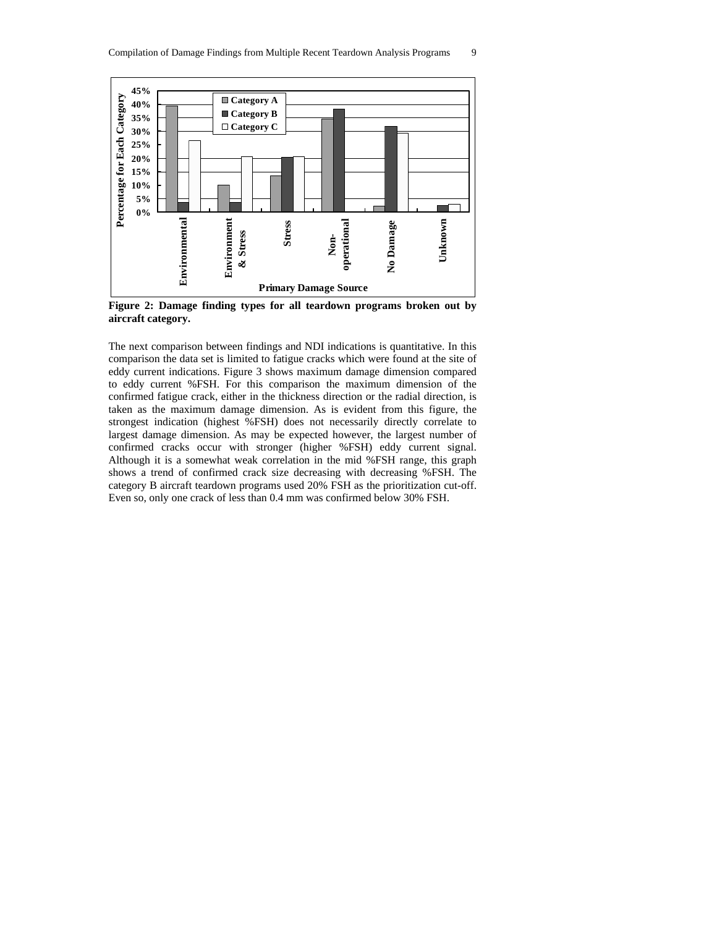

**Figure 2: Damage finding types for all teardown programs broken out by aircraft category.** 

The next comparison between findings and NDI indications is quantitative. In this comparison the data set is limited to fatigue cracks which were found at the site of eddy current indications. Figure 3 shows maximum damage dimension compared to eddy current %FSH. For this comparison the maximum dimension of the confirmed fatigue crack, either in the thickness direction or the radial direction, is taken as the maximum damage dimension. As is evident from this figure, the strongest indication (highest %FSH) does not necessarily directly correlate to largest damage dimension. As may be expected however, the largest number of confirmed cracks occur with stronger (higher %FSH) eddy current signal. Although it is a somewhat weak correlation in the mid %FSH range, this graph shows a trend of confirmed crack size decreasing with decreasing %FSH. The category B aircraft teardown programs used 20% FSH as the prioritization cut-off. Even so, only one crack of less than 0.4 mm was confirmed below 30% FSH.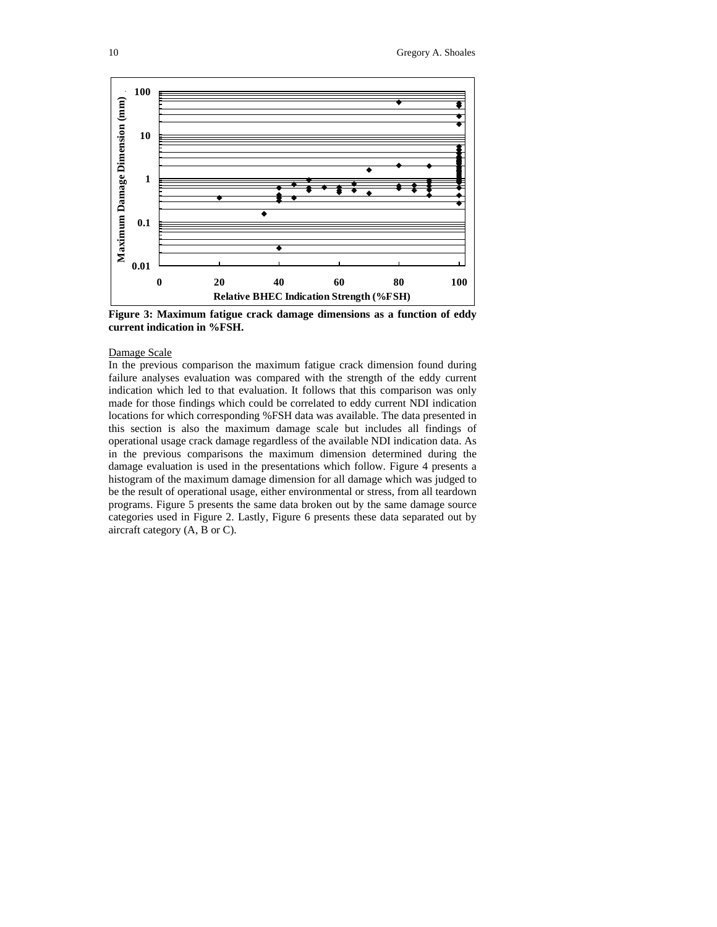

**Figure 3: Maximum fatigue crack damage dimensions as a function of eddy current indication in %FSH.** 

#### Damage Scale

In the previous comparison the maximum fatigue crack dimension found during failure analyses evaluation was compared with the strength of the eddy current indication which led to that evaluation. It follows that this comparison was only made for those findings which could be correlated to eddy current NDI indication locations for which corresponding %FSH data was available. The data presented in this section is also the maximum damage scale but includes all findings of operational usage crack damage regardless of the available NDI indication data. As in the previous comparisons the maximum dimension determined during the damage evaluation is used in the presentations which follow. Figure 4 presents a histogram of the maximum damage dimension for all damage which was judged to be the result of operational usage, either environmental or stress, from all teardown programs. Figure 5 presents the same data broken out by the same damage source categories used in Figure 2. Lastly, Figure 6 presents these data separated out by aircraft category (A, B or C).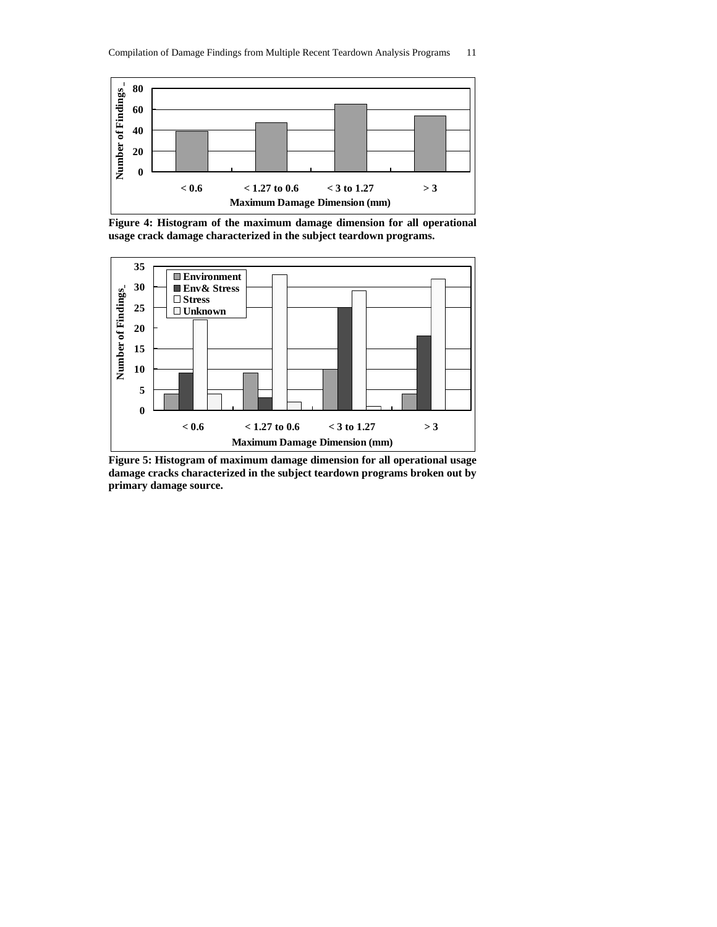

**Figure 4: Histogram of the maximum damage dimension for all operational usage crack damage characterized in the subject teardown programs.** 



**Figure 5: Histogram of maximum damage dimension for all operational usage damage cracks characterized in the subject teardown programs broken out by primary damage source.**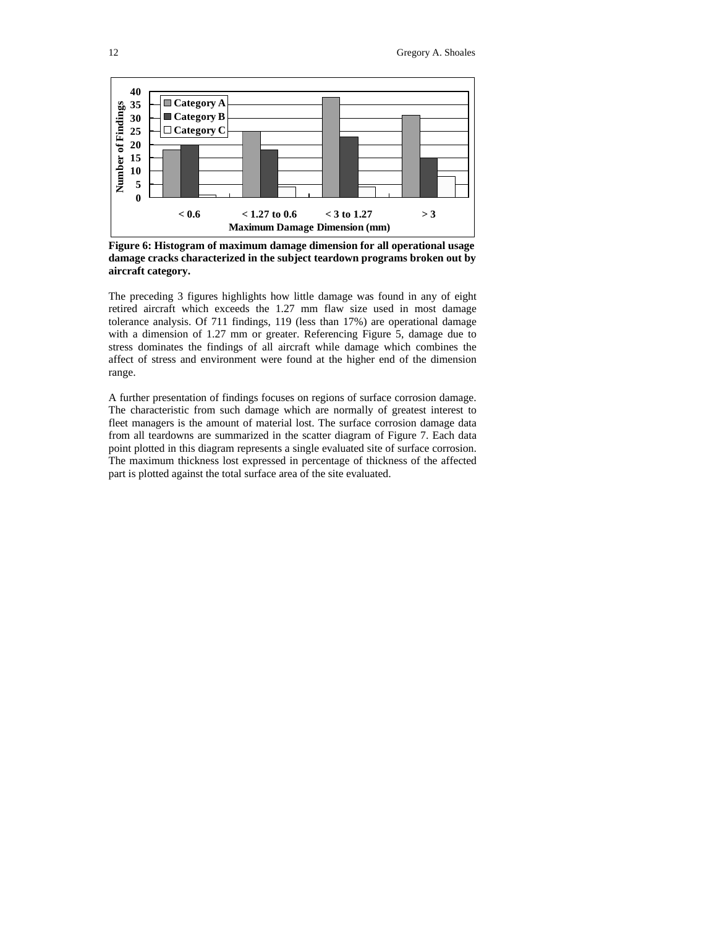

**Figure 6: Histogram of maximum damage dimension for all operational usage damage cracks characterized in the subject teardown programs broken out by aircraft category.** 

The preceding 3 figures highlights how little damage was found in any of eight retired aircraft which exceeds the 1.27 mm flaw size used in most damage tolerance analysis. Of 711 findings, 119 (less than 17%) are operational damage with a dimension of 1.27 mm or greater. Referencing Figure 5, damage due to stress dominates the findings of all aircraft while damage which combines the affect of stress and environment were found at the higher end of the dimension range.

A further presentation of findings focuses on regions of surface corrosion damage. The characteristic from such damage which are normally of greatest interest to fleet managers is the amount of material lost. The surface corrosion damage data from all teardowns are summarized in the scatter diagram of Figure 7. Each data point plotted in this diagram represents a single evaluated site of surface corrosion. The maximum thickness lost expressed in percentage of thickness of the affected part is plotted against the total surface area of the site evaluated.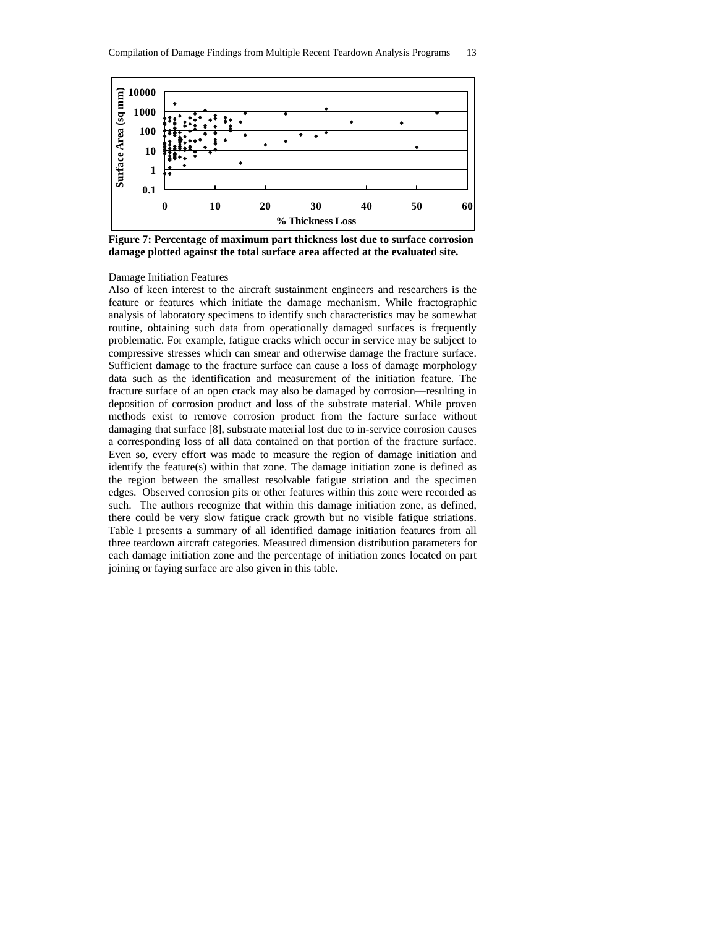

**Figure 7: Percentage of maximum part thickness lost due to surface corrosion damage plotted against the total surface area affected at the evaluated site.** 

#### Damage Initiation Features

Also of keen interest to the aircraft sustainment engineers and researchers is the feature or features which initiate the damage mechanism. While fractographic analysis of laboratory specimens to identify such characteristics may be somewhat routine, obtaining such data from operationally damaged surfaces is frequently problematic. For example, fatigue cracks which occur in service may be subject to compressive stresses which can smear and otherwise damage the fracture surface. Sufficient damage to the fracture surface can cause a loss of damage morphology data such as the identification and measurement of the initiation feature. The fracture surface of an open crack may also be damaged by corrosion—resulting in deposition of corrosion product and loss of the substrate material. While proven methods exist to remove corrosion product from the facture surface without damaging that surface [8], substrate material lost due to in-service corrosion causes a corresponding loss of all data contained on that portion of the fracture surface. Even so, every effort was made to measure the region of damage initiation and identify the feature(s) within that zone. The damage initiation zone is defined as the region between the smallest resolvable fatigue striation and the specimen edges. Observed corrosion pits or other features within this zone were recorded as such. The authors recognize that within this damage initiation zone, as defined, there could be very slow fatigue crack growth but no visible fatigue striations. Table I presents a summary of all identified damage initiation features from all three teardown aircraft categories. Measured dimension distribution parameters for each damage initiation zone and the percentage of initiation zones located on part joining or faying surface are also given in this table.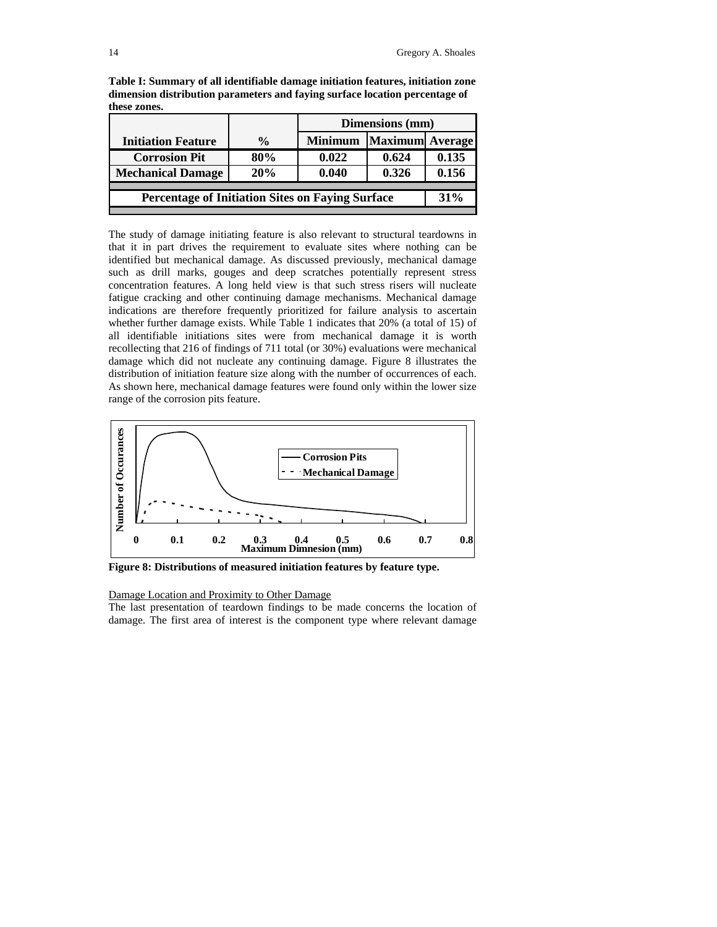|                                                         |               | Dimensions (mm) |                        |       |  |  |  |  |  |
|---------------------------------------------------------|---------------|-----------------|------------------------|-------|--|--|--|--|--|
| <b>Initiation Feature</b>                               | $\frac{6}{9}$ | <b>Minimum</b>  | <b>Maximum</b> Average |       |  |  |  |  |  |
| <b>Corrosion Pit</b>                                    | 80%           | 0.022           | 0.624                  | 0.135 |  |  |  |  |  |
| <b>Mechanical Damage</b>                                | 20%           | 0.040           | 0.326                  | 0.156 |  |  |  |  |  |
|                                                         |               |                 |                        |       |  |  |  |  |  |
| <b>Percentage of Initiation Sites on Faying Surface</b> |               |                 |                        |       |  |  |  |  |  |
|                                                         |               |                 |                        |       |  |  |  |  |  |

**Table I: Summary of all identifiable damage initiation features, initiation zone dimension distribution parameters and faying surface location percentage of these zones.** 

The study of damage initiating feature is also relevant to structural teardowns in that it in part drives the requirement to evaluate sites where nothing can be identified but mechanical damage. As discussed previously, mechanical damage such as drill marks, gouges and deep scratches potentially represent stress concentration features. A long held view is that such stress risers will nucleate fatigue cracking and other continuing damage mechanisms. Mechanical damage indications are therefore frequently prioritized for failure analysis to ascertain whether further damage exists. While Table 1 indicates that 20% (a total of 15) of all identifiable initiations sites were from mechanical damage it is worth recollecting that 216 of findings of 711 total (or 30%) evaluations were mechanical damage which did not nucleate any continuing damage. Figure 8 illustrates the distribution of initiation feature size along with the number of occurrences of each. As shown here, mechanical damage features were found only within the lower size range of the corrosion pits feature.



**Figure 8: Distributions of measured initiation features by feature type.** 

#### Damage Location and Proximity to Other Damage

The last presentation of teardown findings to be made concerns the location of damage. The first area of interest is the component type where relevant damage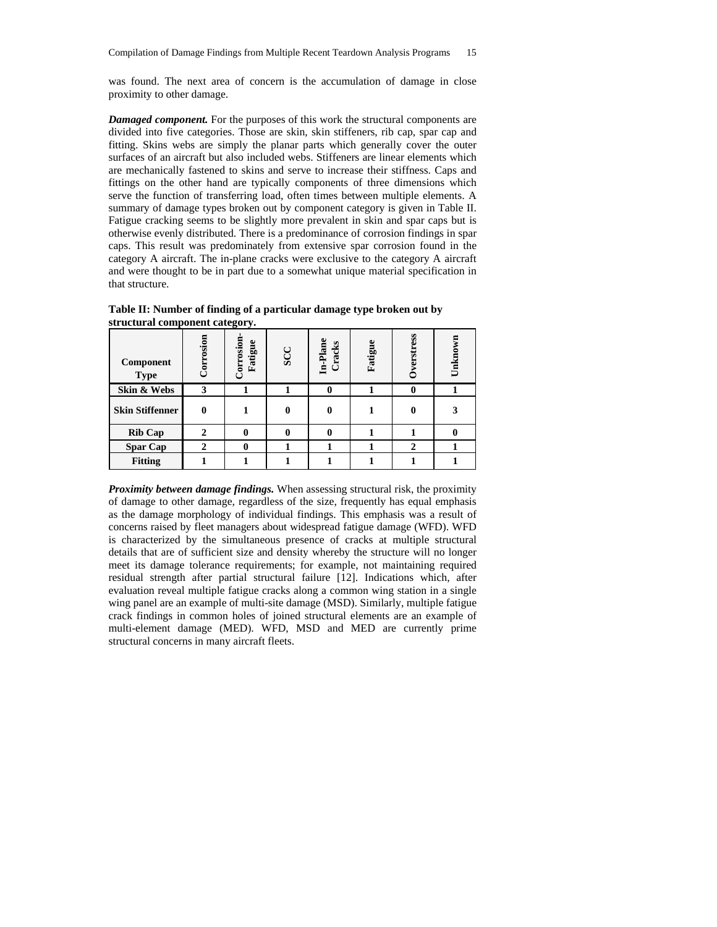was found. The next area of concern is the accumulation of damage in close proximity to other damage.

*Damaged component.* For the purposes of this work the structural components are divided into five categories. Those are skin, skin stiffeners, rib cap, spar cap and fitting. Skins webs are simply the planar parts which generally cover the outer surfaces of an aircraft but also included webs. Stiffeners are linear elements which are mechanically fastened to skins and serve to increase their stiffness. Caps and fittings on the other hand are typically components of three dimensions which serve the function of transferring load, often times between multiple elements. A summary of damage types broken out by component category is given in Table II. Fatigue cracking seems to be slightly more prevalent in skin and spar caps but is otherwise evenly distributed. There is a predominance of corrosion findings in spar caps. This result was predominately from extensive spar corrosion found in the category A aircraft. The in-plane cracks were exclusive to the category A aircraft and were thought to be in part due to a somewhat unique material specification in that structure.

| $\frac{1}{2}$<br>Component | Corrosion | <b>Jorrosion</b><br>Fatigue | SCC          | In-Plane<br>Cracks | Fatigue | Overstress   | Unknown |
|----------------------------|-----------|-----------------------------|--------------|--------------------|---------|--------------|---------|
| <b>Type</b>                |           |                             |              |                    |         |              |         |
| Skin & Webs                | 3         |                             |              | 0                  |         | 0            |         |
| <b>Skin Stiffenner</b>     | 0         |                             | $\mathbf{0}$ | 0                  |         |              |         |
| <b>Rib Cap</b>             |           | 0                           | $\mathbf{0}$ |                    |         |              |         |
| <b>Spar Cap</b>            |           | 0                           |              |                    |         | $\mathbf{2}$ |         |
| <b>Fitting</b>             |           |                             |              |                    |         |              |         |

**Table II: Number of finding of a particular damage type broken out by structural component category.** 

*Proximity between damage findings.* When assessing structural risk, the proximity of damage to other damage, regardless of the size, frequently has equal emphasis as the damage morphology of individual findings. This emphasis was a result of concerns raised by fleet managers about widespread fatigue damage (WFD). WFD is characterized by the simultaneous presence of cracks at multiple structural details that are of sufficient size and density whereby the structure will no longer meet its damage tolerance requirements; for example, not maintaining required residual strength after partial structural failure [12]. Indications which, after evaluation reveal multiple fatigue cracks along a common wing station in a single wing panel are an example of multi-site damage (MSD). Similarly, multiple fatigue crack findings in common holes of joined structural elements are an example of multi-element damage (MED). WFD, MSD and MED are currently prime structural concerns in many aircraft fleets.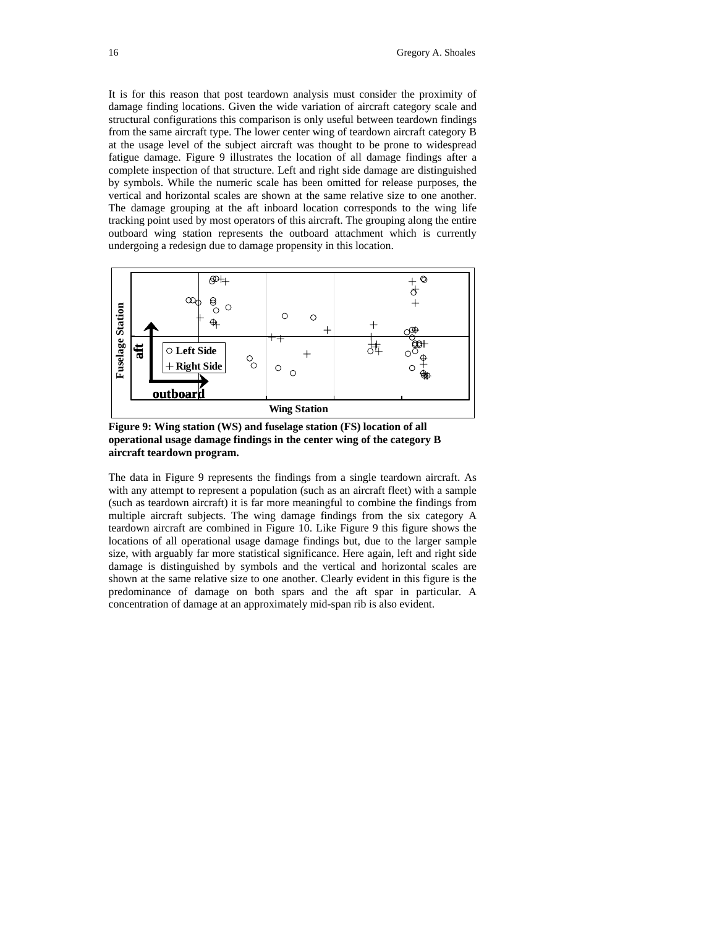It is for this reason that post teardown analysis must consider the proximity of damage finding locations. Given the wide variation of aircraft category scale and structural configurations this comparison is only useful between teardown findings from the same aircraft type. The lower center wing of teardown aircraft category B at the usage level of the subject aircraft was thought to be prone to widespread fatigue damage. Figure 9 illustrates the location of all damage findings after a complete inspection of that structure. Left and right side damage are distinguished by symbols. While the numeric scale has been omitted for release purposes, the vertical and horizontal scales are shown at the same relative size to one another. The damage grouping at the aft inboard location corresponds to the wing life tracking point used by most operators of this aircraft. The grouping along the entire outboard wing station represents the outboard attachment which is currently undergoing a redesign due to damage propensity in this location.



**Figure 9: Wing station (WS) and fuselage station (FS) location of all operational usage damage findings in the center wing of the category B aircraft teardown program.** 

The data in Figure 9 represents the findings from a single teardown aircraft. As with any attempt to represent a population (such as an aircraft fleet) with a sample (such as teardown aircraft) it is far more meaningful to combine the findings from multiple aircraft subjects. The wing damage findings from the six category A teardown aircraft are combined in Figure 10. Like Figure 9 this figure shows the locations of all operational usage damage findings but, due to the larger sample size, with arguably far more statistical significance. Here again, left and right side damage is distinguished by symbols and the vertical and horizontal scales are shown at the same relative size to one another. Clearly evident in this figure is the predominance of damage on both spars and the aft spar in particular. A concentration of damage at an approximately mid-span rib is also evident.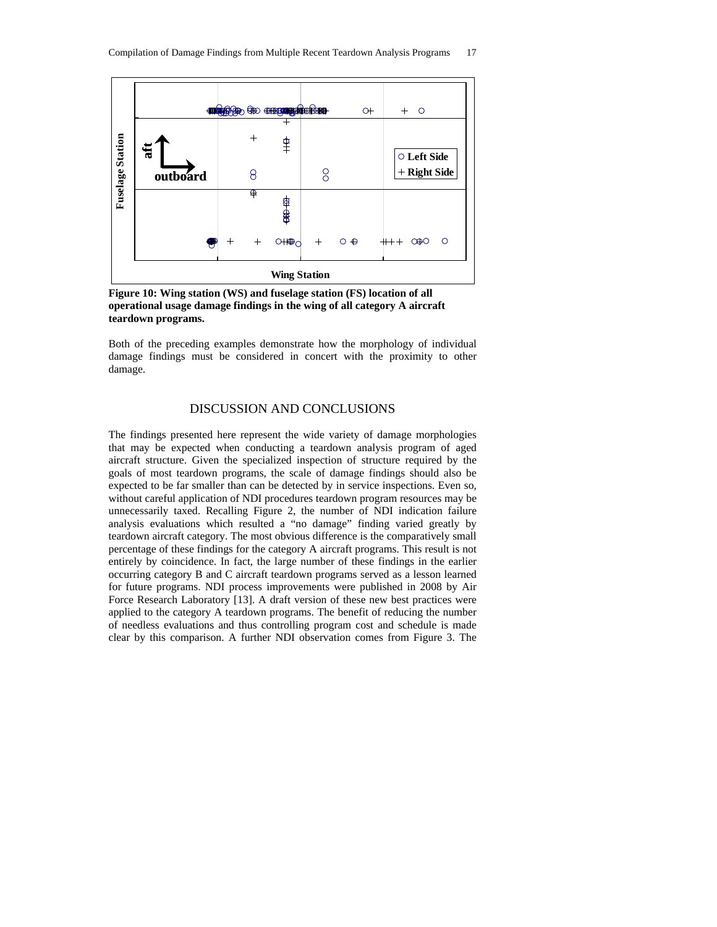

**Figure 10: Wing station (WS) and fuselage station (FS) location of all operational usage damage findings in the wing of all category A aircraft teardown programs.** 

Both of the preceding examples demonstrate how the morphology of individual damage findings must be considered in concert with the proximity to other damage.

# DISCUSSION AND CONCLUSIONS

The findings presented here represent the wide variety of damage morphologies that may be expected when conducting a teardown analysis program of aged aircraft structure. Given the specialized inspection of structure required by the goals of most teardown programs, the scale of damage findings should also be expected to be far smaller than can be detected by in service inspections. Even so, without careful application of NDI procedures teardown program resources may be unnecessarily taxed. Recalling Figure 2, the number of NDI indication failure analysis evaluations which resulted a "no damage" finding varied greatly by teardown aircraft category. The most obvious difference is the comparatively small percentage of these findings for the category A aircraft programs. This result is not entirely by coincidence. In fact, the large number of these findings in the earlier occurring category B and C aircraft teardown programs served as a lesson learned for future programs. NDI process improvements were published in 2008 by Air Force Research Laboratory [13]. A draft version of these new best practices were applied to the category A teardown programs. The benefit of reducing the number of needless evaluations and thus controlling program cost and schedule is made clear by this comparison. A further NDI observation comes from Figure 3. The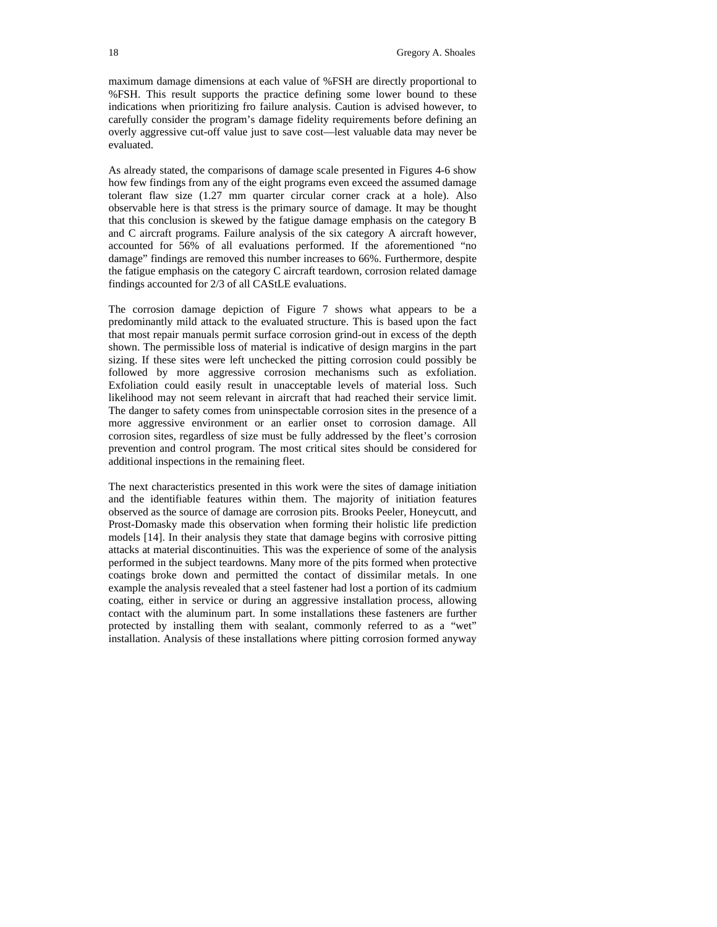maximum damage dimensions at each value of %FSH are directly proportional to %FSH. This result supports the practice defining some lower bound to these indications when prioritizing fro failure analysis. Caution is advised however, to carefully consider the program's damage fidelity requirements before defining an overly aggressive cut-off value just to save cost—lest valuable data may never be evaluated.

As already stated, the comparisons of damage scale presented in Figures 4-6 show how few findings from any of the eight programs even exceed the assumed damage tolerant flaw size (1.27 mm quarter circular corner crack at a hole). Also observable here is that stress is the primary source of damage. It may be thought that this conclusion is skewed by the fatigue damage emphasis on the category B and C aircraft programs. Failure analysis of the six category A aircraft however, accounted for 56% of all evaluations performed. If the aforementioned "no damage" findings are removed this number increases to 66%. Furthermore, despite the fatigue emphasis on the category C aircraft teardown, corrosion related damage findings accounted for 2/3 of all CAStLE evaluations.

The corrosion damage depiction of Figure 7 shows what appears to be a predominantly mild attack to the evaluated structure. This is based upon the fact that most repair manuals permit surface corrosion grind-out in excess of the depth shown. The permissible loss of material is indicative of design margins in the part sizing. If these sites were left unchecked the pitting corrosion could possibly be followed by more aggressive corrosion mechanisms such as exfoliation. Exfoliation could easily result in unacceptable levels of material loss. Such likelihood may not seem relevant in aircraft that had reached their service limit. The danger to safety comes from uninspectable corrosion sites in the presence of a more aggressive environment or an earlier onset to corrosion damage. All corrosion sites, regardless of size must be fully addressed by the fleet's corrosion prevention and control program. The most critical sites should be considered for additional inspections in the remaining fleet.

The next characteristics presented in this work were the sites of damage initiation and the identifiable features within them. The majority of initiation features observed as the source of damage are corrosion pits. Brooks Peeler, Honeycutt, and Prost-Domasky made this observation when forming their holistic life prediction models [14]. In their analysis they state that damage begins with corrosive pitting attacks at material discontinuities. This was the experience of some of the analysis performed in the subject teardowns. Many more of the pits formed when protective coatings broke down and permitted the contact of dissimilar metals. In one example the analysis revealed that a steel fastener had lost a portion of its cadmium coating, either in service or during an aggressive installation process, allowing contact with the aluminum part. In some installations these fasteners are further protected by installing them with sealant, commonly referred to as a "wet" installation. Analysis of these installations where pitting corrosion formed anyway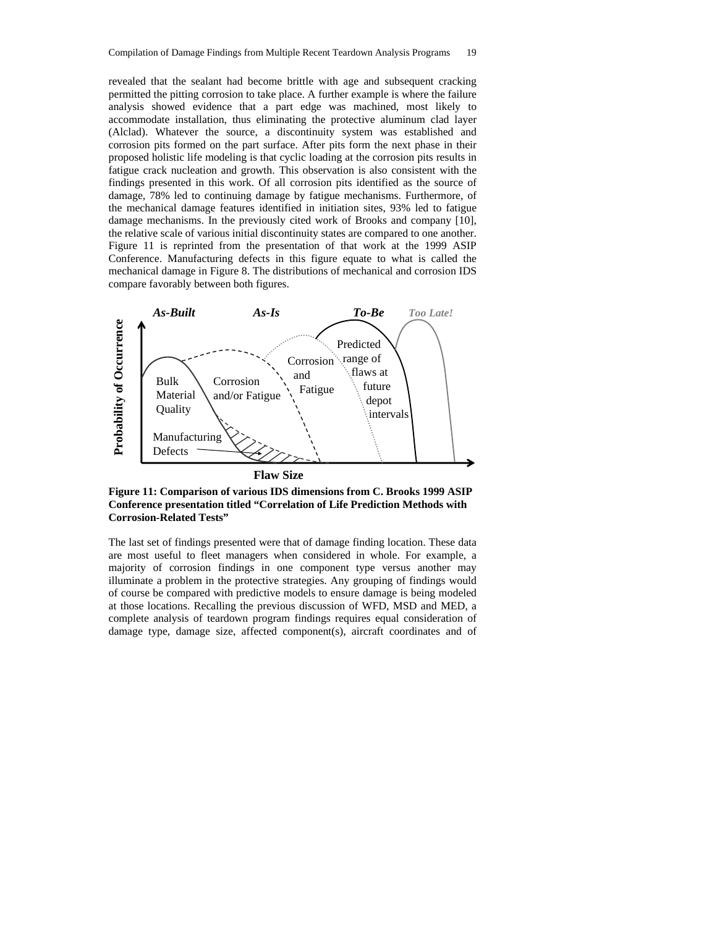revealed that the sealant had become brittle with age and subsequent cracking permitted the pitting corrosion to take place. A further example is where the failure analysis showed evidence that a part edge was machined, most likely to accommodate installation, thus eliminating the protective aluminum clad layer (Alclad). Whatever the source, a discontinuity system was established and corrosion pits formed on the part surface. After pits form the next phase in their proposed holistic life modeling is that cyclic loading at the corrosion pits results in fatigue crack nucleation and growth. This observation is also consistent with the findings presented in this work. Of all corrosion pits identified as the source of damage, 78% led to continuing damage by fatigue mechanisms. Furthermore, of the mechanical damage features identified in initiation sites, 93% led to fatigue damage mechanisms. In the previously cited work of Brooks and company [10], the relative scale of various initial discontinuity states are compared to one another. Figure 11 is reprinted from the presentation of that work at the 1999 ASIP Conference. Manufacturing defects in this figure equate to what is called the mechanical damage in Figure 8. The distributions of mechanical and corrosion IDS compare favorably between both figures.



**Figure 11: Comparison of various IDS dimensions from C. Brooks 1999 ASIP Conference presentation titled "Correlation of Life Prediction Methods with Corrosion-Related Tests"** 

The last set of findings presented were that of damage finding location. These data are most useful to fleet managers when considered in whole. For example, a majority of corrosion findings in one component type versus another may illuminate a problem in the protective strategies. Any grouping of findings would of course be compared with predictive models to ensure damage is being modeled at those locations. Recalling the previous discussion of WFD, MSD and MED, a complete analysis of teardown program findings requires equal consideration of damage type, damage size, affected component(s), aircraft coordinates and of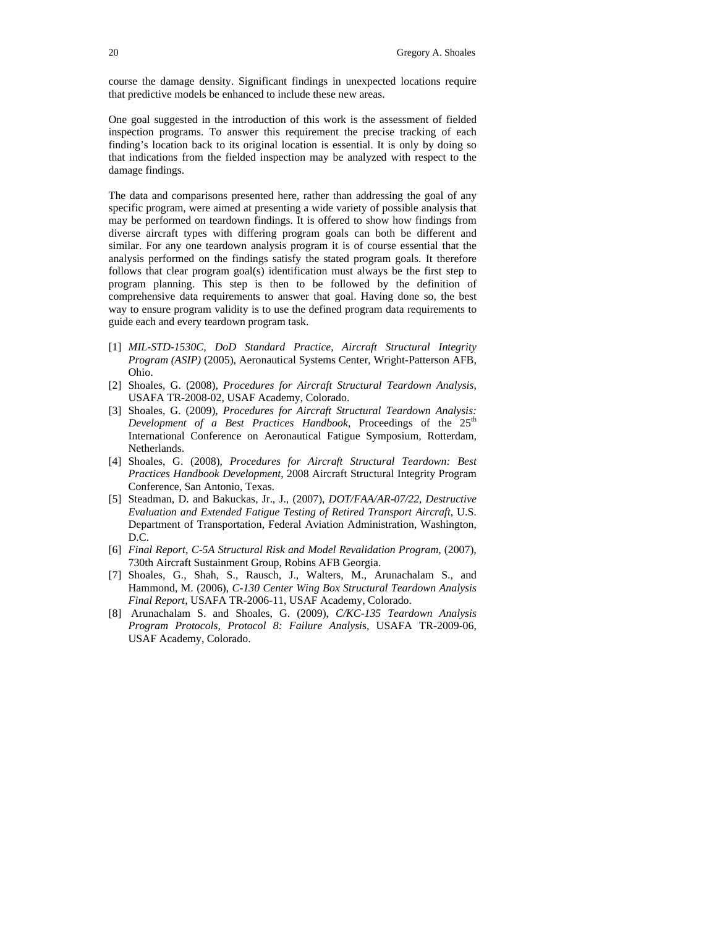course the damage density. Significant findings in unexpected locations require that predictive models be enhanced to include these new areas.

One goal suggested in the introduction of this work is the assessment of fielded inspection programs. To answer this requirement the precise tracking of each finding's location back to its original location is essential. It is only by doing so that indications from the fielded inspection may be analyzed with respect to the damage findings.

The data and comparisons presented here, rather than addressing the goal of any specific program, were aimed at presenting a wide variety of possible analysis that may be performed on teardown findings. It is offered to show how findings from diverse aircraft types with differing program goals can both be different and similar. For any one teardown analysis program it is of course essential that the analysis performed on the findings satisfy the stated program goals. It therefore follows that clear program goal(s) identification must always be the first step to program planning. This step is then to be followed by the definition of comprehensive data requirements to answer that goal. Having done so, the best way to ensure program validity is to use the defined program data requirements to guide each and every teardown program task.

- [1] *MIL-STD-1530C, DoD Standard Practice, Aircraft Structural Integrity Program (ASIP)* (2005), Aeronautical Systems Center, Wright-Patterson AFB, Ohio.
- [2] Shoales, G. (2008), *Procedures for Aircraft Structural Teardown Analysis*, USAFA TR-2008-02, USAF Academy, Colorado.
- [3] Shoales, G. (2009), *Procedures for Aircraft Structural Teardown Analysis: Development of a Best Practices Handbook*, Proceedings of the  $25<sup>th</sup>$ International Conference on Aeronautical Fatigue Symposium, Rotterdam, Netherlands.
- [4] Shoales, G. (2008), *Procedures for Aircraft Structural Teardown: Best Practices Handbook Development*, 2008 Aircraft Structural Integrity Program Conference, San Antonio, Texas.
- [5] Steadman, D. and Bakuckas, Jr., J., (2007), *DOT/FAA/AR-07/22, Destructive Evaluation and Extended Fatigue Testing of Retired Transport Aircraft*, U.S. Department of Transportation, Federal Aviation Administration, Washington, D.C.
- [6] *Final Report, C-5A Structural Risk and Model Revalidation Program, (2007),* 730th Aircraft Sustainment Group, Robins AFB Georgia.
- [7] Shoales, G., Shah, S., Rausch, J., Walters, M., Arunachalam S., and Hammond, M. (2006), *C-130 Center Wing Box Structural Teardown Analysis Final Report,* USAFA TR-2006-11, USAF Academy, Colorado.
- [8] Arunachalam S. and Shoales, G. (2009), *C/KC-135 Teardown Analysis Program Protocols, Protocol 8: Failure Analysi*s, USAFA TR-2009-06, USAF Academy, Colorado.